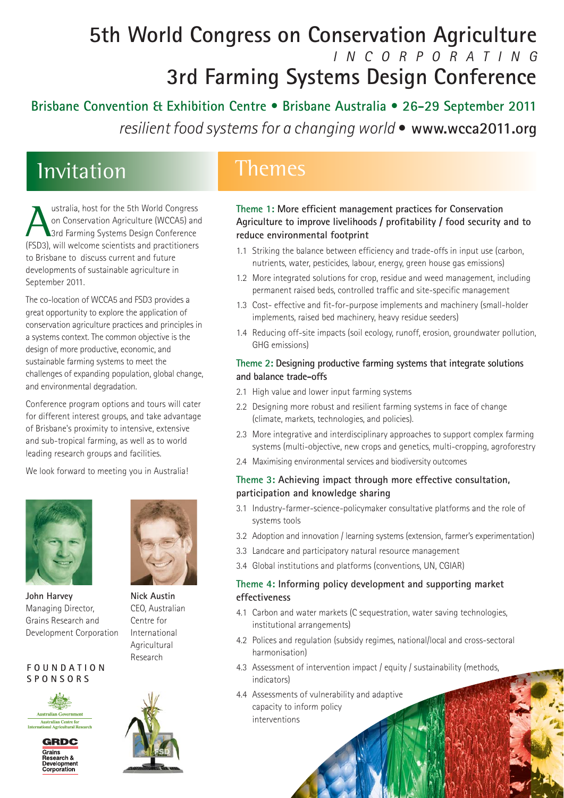## **5th World Congress on Conservation Agriculture**  *INCORPORATING*  **3rd Farming Systems Design Conference**

**Brisbane Convention & Exhibition Centre • Brisbane Australia • 26-29 September 2011**  *resilient food systems for a changing world* **• www.wcca2011.org**

## Invitation Themes

Ustralia, host for the 5th World Congress<br>
on Conservation Agriculture (WCCA5) an<br>
3rd Farming Systems Design Conference<br>
(FSD3) will welcome scientists and practitioners on Conservation Agriculture (WCCA5) and 3rd Farming Systems Design Conference (FSD3), will welcome scientists and practitioners to Brisbane to discuss current and future developments of sustainable agriculture in September 2011.

The co-location of WCCA5 and FSD3 provides a great opportunity to explore the application of conservation agriculture practices and principles in a systems context. The common objective is the design of more productive, economic, and sustainable farming systems to meet the challenges of expanding population, global change, and environmental degradation.

Conference program options and tours will cater for different interest groups, and take advantage of Brisbane's proximity to intensive, extensive and sub-tropical farming, as well as to world leading research groups and facilities.

We look forward to meeting you in Australia!



**John Harvey** Managing Director, Grains Research and Development Corporation

#### **FOUNDATION SPONSORS**







**Nick Austin** CEO, Australian Centre for International Agricultural Research



## **Theme 1: More efficient management practices for Conservation Agriculture to improve livelihoods / profitability / food security and to reduce environmental footprint**

- 1.1 Striking the balance between efficiency and trade-offs in input use (carbon, nutrients, water, pesticides, labour, energy, green house gas emissions)
- 1.2 More integrated solutions for crop, residue and weed management, including permanent raised beds, controlled traffic and site-specific management
- 1.3 Cost- effective and fit-for-purpose implements and machinery (small-holder implements, raised bed machinery, heavy residue seeders)
- 1.4 Reducing off-site impacts (soil ecology, runoff, erosion, groundwater pollution, GHG emissions)

### **Theme 2: Designing productive farming systems that integrate solutions and balance trade-offs**

- 2.1 High value and lower input farming systems
- 2.2 Designing more robust and resilient farming systems in face of change (climate, markets, technologies, and policies).
- 2.3 More integrative and interdisciplinary approaches to support complex farming systems (multi-objective, new crops and genetics, multi-cropping, agroforestry
- 2.4 Maximising environmental services and biodiversity outcomes

### **Theme 3: Achieving impact through more effective consultation, participation and knowledge sharing**

- 3.1 Industry-farmer-science-policymaker consultative platforms and the role of systems tools
- 3.2 Adoption and innovation / learning systems (extension, farmer's experimentation)
- 3.3 Landcare and participatory natural resource management
- 3.4 Global institutions and platforms (conventions, UN, CGIAR)

### **Theme 4: Informing policy development and supporting market effectiveness**

- 4.1 Carbon and water markets (C sequestration, water saving technologies, institutional arrangements)
- 4.2 Polices and regulation (subsidy regimes, national/local and cross-sectoral harmonisation)
- 4.3 Assessment of intervention impact / equity / sustainability (methods, indicators)
- 4.4 Assessments of vulnerability and adaptive capacity to inform policy interventions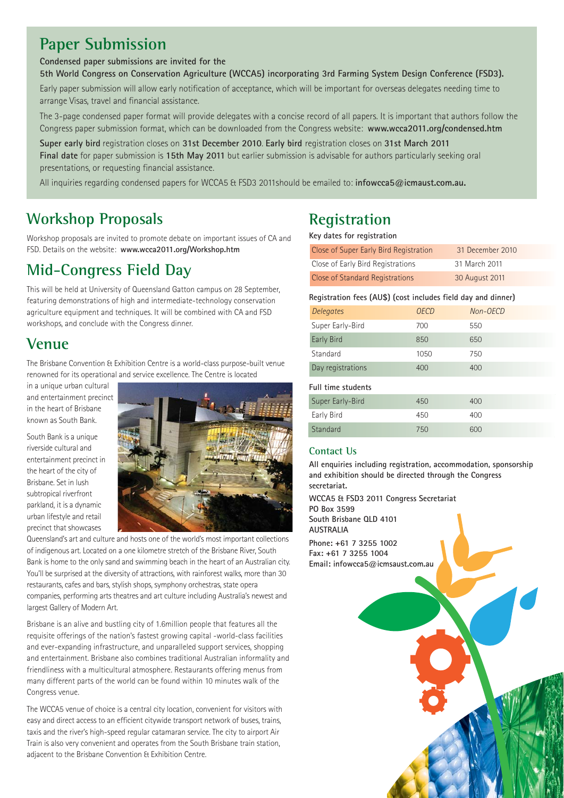## **Paper Submission**

#### **Condensed paper submissions are invited for the**

**5th World Congress on Conservation Agriculture (WCCA5) incorporating 3rd Farming System Design Conference (FSD3).** 

Early paper submission will allow early notification of acceptance, which will be important for overseas delegates needing time to arrange Visas, travel and financial assistance.

The 3-page condensed paper format will provide delegates with a concise record of all papers. It is important that authors follow the Congress paper submission format, which can be downloaded from the Congress website: **www.wcca2011.org/condensed.htm** 

**Super early bird** registration closes on **31st December 2010**. **Early bird** registration closes on **31st March 2011 Final date** for paper submission is **15th May 2011** but earlier submission is advisable for authors particularly seeking oral presentations, or requesting financial assistance.

All inquiries regarding condensed papers for WCCA5 & FSD3 2011should be emailed to: **infowcca5@icmaust.com.au.** 

## **Workshop Proposals**

Workshop proposals are invited to promote debate on important issues of CA and FSD. Details on the website: **www.wcca2011.org/Workshop.htm**

## **Mid-Congress Field Day**

This will be held at University of Queensland Gatton campus on 28 September, featuring demonstrations of high and intermediate-technology conservation agriculture equipment and techniques. It will be combined with CA and FSD workshops, and conclude with the Congress dinner.

## **Venue**

The Brisbane Convention & Exhibition Centre is a world-class purpose-built venue renowned for its operational and service excellence. The Centre is located

in a unique urban cultural and entertainment precinct in the heart of Brisbane known as South Bank.

South Bank is a unique riverside cultural and entertainment precinct in the heart of the city of Brisbane. Set in lush subtropical riverfront parkland, it is a dynamic urban lifestyle and retail precinct that showcases



Queensland's art and culture and hosts one of the world's most important collections of indigenous art. Located on a one kilometre stretch of the Brisbane River, South Bank is home to the only sand and swimming beach in the heart of an Australian city. You'll be surprised at the diversity of attractions, with rainforest walks, more than 30 restaurants, cafes and bars, stylish shops, symphony orchestras, state opera companies, performing arts theatres and art culture including Australia's newest and largest Gallery of Modern Art.

Brisbane is an alive and bustling city of 1.6million people that features all the requisite offerings of the nation's fastest growing capital -world-class facilities and ever-expanding infrastructure, and unparalleled support services, shopping and entertainment. Brisbane also combines traditional Australian informality and friendliness with a multicultural atmosphere. Restaurants offering menus from many different parts of the world can be found within 10 minutes walk of the Congress venue.

The WCCA5 venue of choice is a central city location, convenient for visitors with easy and direct access to an efficient citywide transport network of buses, trains, taxis and the river's high-speed regular catamaran service. The city to airport Air Train is also very convenient and operates from the South Brisbane train station, adjacent to the Brisbane Convention & Exhibition Centre.

## **Registration**

**Key dates for registration**

| Close of Super Early Bird Registration | 31 December 2010 |  |
|----------------------------------------|------------------|--|
| Close of Early Bird Registrations      | 31 March 2011    |  |
| Close of Standard Registrations        | 30 August 2011   |  |

| Registration fees (AU\$) (cost includes field day and dinner) |      |          |
|---------------------------------------------------------------|------|----------|
| Delegates                                                     | OFCD | Non-OECD |
| Super Early-Bird                                              | 700  | 550      |

| Early Bird         | 850  | 650 |  |
|--------------------|------|-----|--|
| Standard           | 1050 | 750 |  |
| Day registrations  | 400  | 400 |  |
| Full time students |      |     |  |
| Super Early-Bird   | 450  | 400 |  |
| Early Bird         | 450  | 400 |  |
| Standard           | 750  | 600 |  |

### **Contact Us**

**All enquiries including registration, accommodation, sponsorship and exhibition should be directed through the Congress secretariat.** 

**WCCA5 & FSD3 2011 Congress Secretariat PO Box 3599 South Brisbane QLD 4101 AUSTRALIA Phone: +61 7 3255 1002 Fax: +61 7 3255 1004 Email: infowcca5@icmsaust.com.au**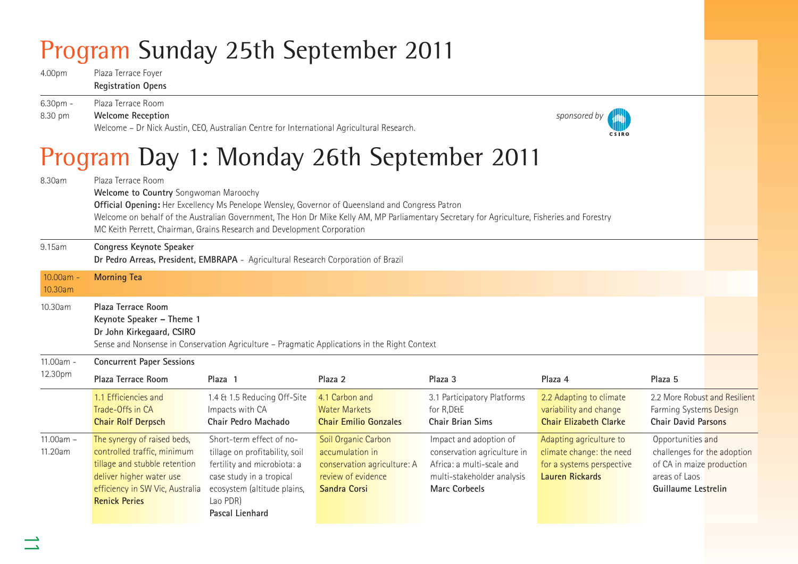# Program Sunday 25th September 2011

4.00pm Plaza Terrace Foyer **Registration Opens** 

6.30pm - Plaza Terrace Room 8.30 pm **Welcome Reception** *sponsored by*  Welcome – Dr Nick Austin, CEO, Australian Centre for International Agricultural Research.



## Program Day 1: Monday 26th September 2011

| ◡                      |                                                                                                                                                                                                                                            | ັ                                                                                                                                                                                   |                                                                                                             |                                                                                                                                              |                                                                                                     |                                                                                                                       |  |
|------------------------|--------------------------------------------------------------------------------------------------------------------------------------------------------------------------------------------------------------------------------------------|-------------------------------------------------------------------------------------------------------------------------------------------------------------------------------------|-------------------------------------------------------------------------------------------------------------|----------------------------------------------------------------------------------------------------------------------------------------------|-----------------------------------------------------------------------------------------------------|-----------------------------------------------------------------------------------------------------------------------|--|
| 8.30am                 | Plaza Terrace Room<br>Welcome to Country Songwoman Maroochy<br>Official Opening: Her Excellency Ms Penelope Wensley, Governor of Queensland and Congress Patron<br>MC Keith Perrett, Chairman, Grains Research and Development Corporation |                                                                                                                                                                                     |                                                                                                             | Welcome on behalf of the Australian Government, The Hon Dr Mike Kelly AM, MP Parliamentary Secretary for Agriculture, Fisheries and Forestry |                                                                                                     |                                                                                                                       |  |
| 9.15am                 | Congress Keynote Speaker<br>Dr Pedro Arreas, President, EMBRAPA - Agricultural Research Corporation of Brazil                                                                                                                              |                                                                                                                                                                                     |                                                                                                             |                                                                                                                                              |                                                                                                     |                                                                                                                       |  |
| $10.00am -$<br>10.30am | <b>Morning Tea</b>                                                                                                                                                                                                                         |                                                                                                                                                                                     |                                                                                                             |                                                                                                                                              |                                                                                                     |                                                                                                                       |  |
| 10.30am                | Plaza Terrace Room<br>Keynote Speaker - Theme 1<br>Dr John Kirkegaard, CSIRO<br>Sense and Nonsense in Conservation Agriculture - Pragmatic Applications in the Right Context                                                               |                                                                                                                                                                                     |                                                                                                             |                                                                                                                                              |                                                                                                     |                                                                                                                       |  |
| 11.00am -              | <b>Concurrent Paper Sessions</b>                                                                                                                                                                                                           |                                                                                                                                                                                     |                                                                                                             |                                                                                                                                              |                                                                                                     |                                                                                                                       |  |
| 12.30pm                | Plaza Terrace Room                                                                                                                                                                                                                         | Plaza 1                                                                                                                                                                             | Plaza 2                                                                                                     | Plaza 3                                                                                                                                      | Plaza 4                                                                                             | Plaza 5                                                                                                               |  |
|                        | 1.1 Efficiencies and<br>Trade-Offs in CA<br><b>Chair Rolf Derpsch</b>                                                                                                                                                                      | 1.4 & 1.5 Reducing Off-Site<br>Impacts with CA<br>Chair Pedro Machado                                                                                                               | 4.1 Carbon and<br><b>Water Markets</b><br><b>Chair Emilio Gonzales</b>                                      | 3.1 Participatory Platforms<br>for R, D&E<br>Chair Brian Sims                                                                                | 2.2 Adapting to climate<br>variability and change<br><b>Chair Elizabeth Clarke</b>                  | 2.2 More Robust and Resilient<br>Farming Systems Design<br><b>Chair David Parsons</b>                                 |  |
| $11.00am -$<br>11.20am | The synergy of raised beds,<br>controlled traffic, minimum<br>tillage and stubble retention<br>deliver higher water use<br>efficiency in SW Vic, Australia<br><b>Renick Peries</b>                                                         | Short-term effect of no-<br>tillage on profitability, soil<br>fertility and microbiota: a<br>case study in a tropical<br>ecosystem (altitude plains,<br>Lao PDR)<br>Pascal Lienhard | Soil Organic Carbon<br>accumulation in<br>conservation agriculture: A<br>review of evidence<br>Sandra Corsi | Impact and adoption of<br>conservation agriculture in<br>Africa: a multi-scale and<br>multi-stakeholder analysis<br><b>Marc Corbeels</b>     | Adapting agriculture to<br>climate change: the need<br>for a systems perspective<br>Lauren Rickards | Opportunities and<br>challenges for the adoption<br>of CA in maize production<br>areas of Laos<br>Guillaume Lestrelin |  |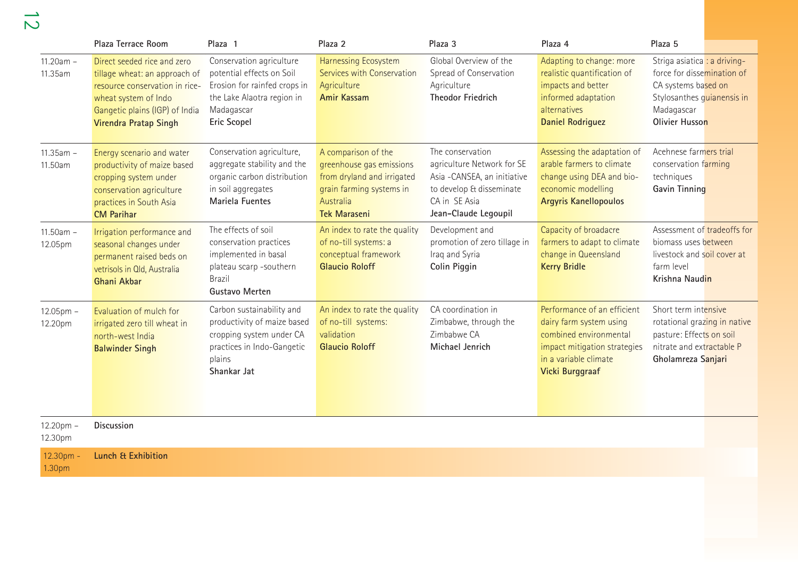12

|                           | Plaza Terrace Room                                                                                                                                                                       | Plaza 1                                                                                                                                                 | Plaza 2                                                                                                                                       | Plaza 3                                                                                                                                            | Plaza 4                                                                                                                                                      | Plaza 5                                                                                                                                         |
|---------------------------|------------------------------------------------------------------------------------------------------------------------------------------------------------------------------------------|---------------------------------------------------------------------------------------------------------------------------------------------------------|-----------------------------------------------------------------------------------------------------------------------------------------------|----------------------------------------------------------------------------------------------------------------------------------------------------|--------------------------------------------------------------------------------------------------------------------------------------------------------------|-------------------------------------------------------------------------------------------------------------------------------------------------|
| $11.20am -$<br>11.35am    | Direct seeded rice and zero<br>tillage wheat: an approach of<br>resource conservation in rice-<br>wheat system of Indo<br>Gangetic plains (IGP) of India<br><b>Virendra Pratap Singh</b> | Conservation agriculture<br>potential effects on Soil<br>Erosion for rainfed crops in<br>the Lake Alaotra region in<br>Madagascar<br><b>Eric Scopel</b> | Harnessing Ecosystem<br>Services with Conservation<br>Agriculture<br><b>Amir Kassam</b>                                                       | Global Overview of the<br>Spread of Conservation<br>Agriculture<br><b>Theodor Friedrich</b>                                                        | Adapting to change: more<br>realistic quantification of<br>impacts and better<br>informed adaptation<br>alternatives<br><b>Daniel Rodriguez</b>              | Striga asiatica : a driving-<br>force for dissemination of<br>CA systems based on<br>Stylosanthes guianensis in<br>Madagascar<br>Olivier Husson |
| $11.35am -$<br>11.50am    | Energy scenario and water<br>productivity of maize based<br>cropping system under<br>conservation agriculture<br>practices in South Asia<br><b>CM Parihar</b>                            | Conservation agriculture,<br>aggregate stability and the<br>organic carbon distribution<br>in soil aggregates<br>Mariela Fuentes                        | A comparison of the<br>greenhouse gas emissions<br>from dryland and irrigated<br>grain farming systems in<br>Australia<br><b>Tek Maraseni</b> | The conservation<br>agriculture Network for SE<br>Asia -CANSEA, an initiative<br>to develop & disseminate<br>CA in SE Asia<br>Jean-Claude Legoupil | Assessing the adaptation of<br>arable farmers to climate<br>change using DEA and bio-<br>economic modelling<br><b>Argyris Kanellopoulos</b>                  | Acehnese farmers trial<br>conservation farming<br>techniques<br>Gavin Tinning                                                                   |
| $11.50am -$<br>12.05pm    | Irrigation performance and<br>seasonal changes under<br>permanent raised beds on<br>vetrisols in Old, Australia<br>Ghani Akbar                                                           | The effects of soil<br>conservation practices<br>implemented in basal<br>plateau scarp -southern<br><b>Brazil</b><br>Gustavo Merten                     | An index to rate the quality<br>of no-till systems: a<br>conceptual framework<br><b>Glaucio Roloff</b>                                        | Development and<br>promotion of zero tillage in<br>Iraq and Syria<br>Colin Piggin                                                                  | Capacity of broadacre<br>farmers to adapt to climate<br>change in Queensland<br><b>Kerry Bridle</b>                                                          | Assessment of tradeoffs for<br>biomass uses between<br>livestock and soil cover at<br>farm level<br>Krishna Naudin                              |
| $12.05$ pm $-$<br>12.20pm | Evaluation of mulch for<br>irrigated zero till wheat in<br>north-west India<br><b>Balwinder Singh</b>                                                                                    | Carbon sustainability and<br>productivity of maize based<br>cropping system under CA<br>practices in Indo-Gangetic<br>plains<br>Shankar Jat             | An index to rate the quality<br>of no-till systems:<br>validation<br><b>Glaucio Roloff</b>                                                    | CA coordination in<br>Zimbabwe, through the<br>Zimbabwe CA<br>Michael Jenrich                                                                      | Performance of an efficient<br>dairy farm system using<br>combined environmental<br>impact mitigation strategies<br>in a variable climate<br>Vicki Burggraaf | Short term intensive<br>rotational grazing in native<br>pasture: Effects on soil<br>nitrate and extractable P<br>Gholamreza Sanjari             |
| $12.20pm -$<br>12.30pm    | <b>Discussion</b>                                                                                                                                                                        |                                                                                                                                                         |                                                                                                                                               |                                                                                                                                                    |                                                                                                                                                              |                                                                                                                                                 |
| 12.30pm -<br>1.30pm       | <b>Lunch &amp; Exhibition</b>                                                                                                                                                            |                                                                                                                                                         |                                                                                                                                               |                                                                                                                                                    |                                                                                                                                                              |                                                                                                                                                 |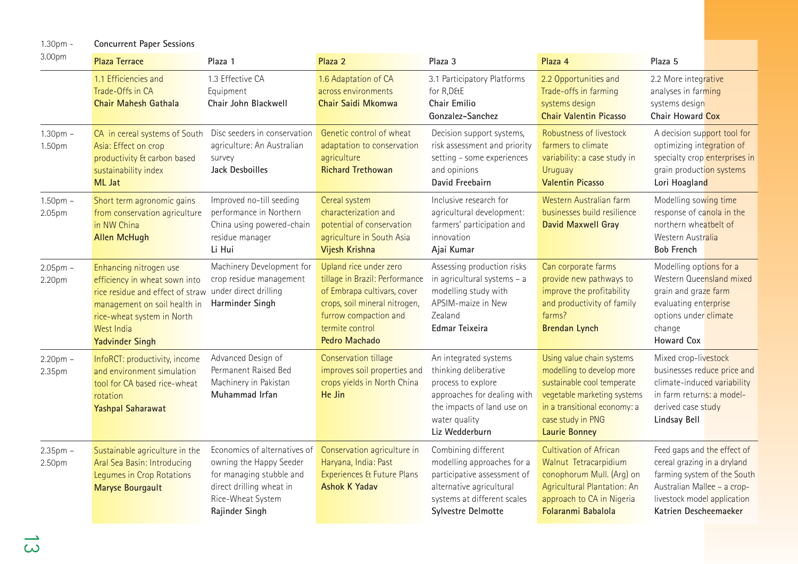1.30pm - **Concurrent Paper Sessions**

| 3.00pm                  | <b>Plaza Terrace</b>                                                                                                                                                                              | Plaza 1                                                                                                                                                | Plaza <sub>2</sub>                                                                                                                                                                           | Plaza 3                                                                                                                                                              | Plaza 4                                                                                                                                                                                          | Plaza 5                                                                                                                                                                          |
|-------------------------|---------------------------------------------------------------------------------------------------------------------------------------------------------------------------------------------------|--------------------------------------------------------------------------------------------------------------------------------------------------------|----------------------------------------------------------------------------------------------------------------------------------------------------------------------------------------------|----------------------------------------------------------------------------------------------------------------------------------------------------------------------|--------------------------------------------------------------------------------------------------------------------------------------------------------------------------------------------------|----------------------------------------------------------------------------------------------------------------------------------------------------------------------------------|
|                         | 1.1 Efficiencies and<br>Trade-Offs in CA<br>Chair Mahesh Gathala                                                                                                                                  | 1.3 Effective CA<br>Equipment<br>Chair John Blackwell                                                                                                  | 1.6 Adaptation of CA<br>across environments<br>Chair Saidi Mkomwa                                                                                                                            | 3.1 Participatory Platforms<br>for R, D&E<br>Chair Emilio<br>Gonzalez-Sanchez                                                                                        | 2.2 Opportunities and<br>Trade-offs in farming<br>systems design<br><b>Chair Valentin Picasso</b>                                                                                                | 2.2 More integrative<br>analyses in farming<br>systems design<br>Chair Howard Cox                                                                                                |
| $1.30pm$ -<br>1.50pm    | CA in cereal systems of South<br>Asia: Effect on crop<br>productivity & carbon based<br>sustainability index<br>ML Jat                                                                            | Disc seeders in conservation<br>agriculture: An Australian<br>survey<br>Jack Desboilles                                                                | Genetic control of wheat<br>adaptation to conservation<br>agriculture<br><b>Richard Trethowan</b>                                                                                            | Decision support systems,<br>risk assessment and priority<br>setting - some experiences<br>and opinions<br>David Freebairn                                           | Robustness of livestock<br>farmers to climate<br>variability: a case study in<br>Uruguay<br><b>Valentin Picasso</b>                                                                              | A decision support tool for<br>optimizing integration of<br>specialty crop enterprises in<br>grain production systems<br>Lori Hoagland                                           |
| $1.50pm$ -<br>2.05pm    | Short term agronomic gains<br>from conservation agriculture<br>in NW China<br><b>Allen McHugh</b>                                                                                                 | Improved no-till seeding<br>performance in Northern<br>China using powered-chain<br>residue manager<br>Li Hui                                          | Cereal system<br>characterization and<br>potential of conservation<br>agriculture in South Asia<br>Vijesh Krishna                                                                            | Inclusive research for<br>agricultural development:<br>farmers' participation and<br>innovation<br>Ajai Kumar                                                        | Western Australian farm<br>businesses build resilience<br><b>David Maxwell Gray</b>                                                                                                              | Modelling sowing time<br>response of canola in the<br>northern wheatbelt of<br>Western Australia<br><b>Bob French</b>                                                            |
| $2.05$ pm $-$<br>2.20pm | Enhancing nitrogen use<br>efficiency in wheat sown into<br>rice residue and effect of straw<br>management on soil health in<br>rice-wheat system in North<br>West India<br><b>Yadvinder Singh</b> | Machinery Development for<br>crop residue management<br>under direct drilling<br>Harminder Singh                                                       | Upland rice under zero<br>tillage in Brazil: Performance<br>of Embrapa cultivars, cover<br>crops, soil mineral nitrogen,<br>furrow compaction and<br>termite control<br><b>Pedro Machado</b> | Assessing production risks<br>in agricultural systems - a<br>modelling study with<br>APSIM-maize in New<br>Zealand<br><b>Edmar Teixeira</b>                          | Can corporate farms<br>provide new pathways to<br>improve the profitability<br>and productivity of family<br>farms?<br><b>Brendan Lynch</b>                                                      | Modelling options for a<br>Western Queensland mixed<br>grain and graze farm<br>evaluating enterprise<br>options under climate<br>change<br><b>Howard Cox</b>                     |
| $2.20$ pm $-$<br>2.35pm | InfoRCT: productivity, income<br>and environment simulation<br>tool for CA based rice-wheat<br>rotation<br><b>Yashpal Saharawat</b>                                                               | Advanced Design of<br>Permanent Raised Bed<br>Machinery in Pakistan<br>Muhammad Irfan                                                                  | Conservation tillage<br>improves soil properties and<br>crops yields in North China<br>He Jin                                                                                                | An integrated systems<br>thinking deliberative<br>process to explore<br>approaches for dealing with<br>the impacts of land use on<br>water quality<br>Liz Wedderburn | Using value chain systems<br>modelling to develop more<br>sustainable cool temperate<br>vegetable marketing systems<br>in a transitional economy: a<br>case study in PNG<br><b>Laurie Bonney</b> | Mixed crop-livestock<br>businesses reduce price and<br>climate-induced variability<br>in farm returns: a model-<br>derived case study<br>Lindsay Bell                            |
| $2.35$ pm $-$<br>2.50pm | Sustainable agriculture in the<br>Aral Sea Basin: Introducing<br>Legumes in Crop Rotations<br><b>Maryse Bourgault</b>                                                                             | Economics of alternatives of<br>owning the Happy Seeder<br>for managing stubble and<br>direct drilling wheat in<br>Rice-Wheat System<br>Rajinder Singh | Conservation agriculture in<br>Haryana, India: Past<br><b>Experiences &amp; Future Plans</b><br><b>Ashok K Yadav</b>                                                                         | Combining different<br>modelling approaches for a<br>participative assessment of<br>alternative agricultural<br>systems at different scales<br>Sylvestre Delmotte    | <b>Cultivation of African</b><br>Walnut Tetracarpidium<br>conophorum Mull. (Arg) on<br><b>Agricultural Plantation: An</b><br>approach to CA in Nigeria<br>Folaranmi Babalola                     | Feed gaps and the effect of<br>cereal grazing in a dryland<br>farming system of the South<br>Australian Mallee - a crop-<br>livestock model application<br>Katrien Descheemaeker |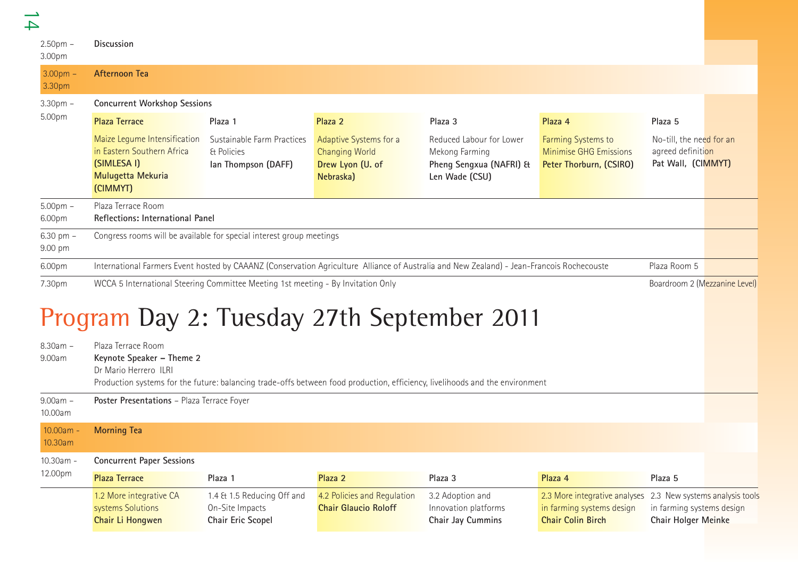| $\rightarrow$          |                                                                                                                        |                                                                    |                                                                                  |                                                                                                                                           |                                                                                        |                                                                     |                                |
|------------------------|------------------------------------------------------------------------------------------------------------------------|--------------------------------------------------------------------|----------------------------------------------------------------------------------|-------------------------------------------------------------------------------------------------------------------------------------------|----------------------------------------------------------------------------------------|---------------------------------------------------------------------|--------------------------------|
| $2.50pm -$<br>3.00pm   | <b>Discussion</b>                                                                                                      |                                                                    |                                                                                  |                                                                                                                                           |                                                                                        |                                                                     |                                |
| $3.00pm -$<br>3.30pm   | <b>Afternoon Tea</b>                                                                                                   |                                                                    |                                                                                  |                                                                                                                                           |                                                                                        |                                                                     |                                |
| $3.30pm$ -             | <b>Concurrent Workshop Sessions</b>                                                                                    |                                                                    |                                                                                  |                                                                                                                                           |                                                                                        |                                                                     |                                |
| 5.00pm                 | <b>Plaza Terrace</b>                                                                                                   | Plaza 1                                                            | Plaza 2                                                                          | Plaza 3                                                                                                                                   | Plaza 4                                                                                | Plaza 5                                                             |                                |
|                        | Maize Legume Intensification<br>in Eastern Southern Africa<br>(SIMLESA I)<br>Mulugetta Mekuria<br>(CIMMYT)             | Sustainable Farm Practices<br>& Policies<br>lan Thompson (DAFF)    | Adaptive Systems for a<br><b>Changing World</b><br>Drew Lyon (U. of<br>Nebraska) | Reduced Labour for Lower<br>Mekong Farming<br>Pheng Sengxua (NAFRI) &<br>Len Wade (CSU)                                                   | Farming Systems to<br><b>Minimise GHG Emissions</b><br>Peter Thorburn, (CSIRO)         | No-till, the need for an<br>agreed definition<br>Pat Wall, (CIMMYT) |                                |
| $5.00pm$ -<br>6.00pm   | Plaza Terrace Room<br>Reflections: International Panel                                                                 |                                                                    |                                                                                  |                                                                                                                                           |                                                                                        |                                                                     |                                |
| 6.30 pm $-$<br>9.00 pm | Congress rooms will be available for special interest group meetings                                                   |                                                                    |                                                                                  |                                                                                                                                           |                                                                                        |                                                                     |                                |
| 6.00pm                 |                                                                                                                        |                                                                    |                                                                                  | International Farmers Event hosted by CAAANZ (Conservation Agriculture Alliance of Australia and New Zealand) - Jean-Francois Rochecouste |                                                                                        | Plaza Room 5                                                        |                                |
| 7.30pm                 | WCCA 5 International Steering Committee Meeting 1st meeting - By Invitation Only                                       |                                                                    |                                                                                  |                                                                                                                                           |                                                                                        | Boardroom 2 (Mezzanine Level)                                       |                                |
| $8.30am -$<br>9.00am   | Program Day 2: Tuesday 27th September 2011<br>Plaza Terrace Room<br>Keynote Speaker - Theme 2<br>Dr Mario Herrero ILRI |                                                                    |                                                                                  | Production systems for the future: balancing trade-offs between food production, efficiency, livelihoods and the environment              |                                                                                        |                                                                     |                                |
| $9.00am -$<br>10.00am  | Poster Presentations - Plaza Terrace Foyer                                                                             |                                                                    |                                                                                  |                                                                                                                                           |                                                                                        |                                                                     |                                |
| 10.00am -<br>10.30am   | <b>Morning Tea</b>                                                                                                     |                                                                    |                                                                                  |                                                                                                                                           |                                                                                        |                                                                     |                                |
| 10.30am -              | <b>Concurrent Paper Sessions</b>                                                                                       |                                                                    |                                                                                  |                                                                                                                                           |                                                                                        |                                                                     |                                |
| 12.00pm                | <b>Plaza Terrace</b>                                                                                                   | Plaza 1                                                            | Plaza 2                                                                          | Plaza 3                                                                                                                                   | Plaza 4                                                                                | Plaza 5                                                             |                                |
|                        | 1.2 More integrative CA<br>systems Solutions<br>Chair Li Hongwen                                                       | 1.4 & 1.5 Reducing Off and<br>On-Site Impacts<br>Chair Eric Scopel | 4.2 Policies and Regulation<br><b>Chair Glaucio Roloff</b>                       | 3.2 Adoption and<br>Innovation platforms<br>Chair Jay Cummins                                                                             | 2.3 More integrative analyses<br>in farming systems design<br><b>Chair Colin Birch</b> | in farming systems design<br>Chair Holger Meinke                    | 2.3 New systems analysis tools |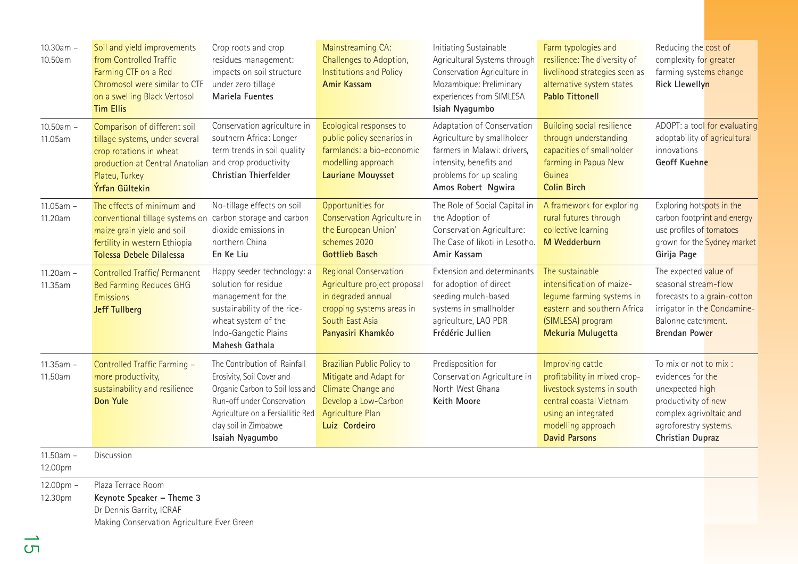| $10.30am -$<br>10.50am | Soil and yield improvements<br>from Controlled Traffic<br>Farming CTF on a Red<br>Chromosol were similar to CTF<br>on a swelling Black Vertosol<br><b>Tim Ellis</b>                    | Crop roots and crop<br>residues management:<br>impacts on soil structure<br>under zero tillage<br>Mariela Fuentes                                                                                           | Mainstreaming CA:<br>Challenges to Adoption,<br><b>Institutions and Policy</b><br><b>Amir Kassam</b>                                                    | Initiating Sustainable<br>Agricultural Systems through<br>Conservation Agriculture in<br>Mozambique: Preliminary<br>experiences from SIMLESA<br>Isiah Nyagumbo      | Farm typologies and<br>resilience: The diversity of<br>livelihood strategies seen as<br>alternative system states<br><b>Pablo Tittonell</b>                                    | Reducing the cost of<br>complexity for greater<br>farming systems change<br>Rick Llewellyn                                                                    |
|------------------------|----------------------------------------------------------------------------------------------------------------------------------------------------------------------------------------|-------------------------------------------------------------------------------------------------------------------------------------------------------------------------------------------------------------|---------------------------------------------------------------------------------------------------------------------------------------------------------|---------------------------------------------------------------------------------------------------------------------------------------------------------------------|--------------------------------------------------------------------------------------------------------------------------------------------------------------------------------|---------------------------------------------------------------------------------------------------------------------------------------------------------------|
| 10.50am -<br>11.05am   | Comparison of different soil<br>tillage systems, under several<br>crop rotations in wheat<br>production at Central Anatolian and crop productivity<br>Plateu, Turkey<br>Ýrfan Gültekin | Conservation agriculture in<br>southern Africa: Longer<br>term trends in soil quality<br>Christian Thierfelder                                                                                              | Ecological responses to<br>public policy scenarios in<br>farmlands: a bio-economic<br>modelling approach<br><b>Lauriane Mouysset</b>                    | Adaptation of Conservation<br>Agriculture by smallholder<br>farmers in Malawi: drivers,<br>intensity, benefits and<br>problems for up scaling<br>Amos Robert Ngwira | <b>Building social resilience</b><br>through understanding<br>capacities of smallholder<br>farming in Papua New<br>Guinea<br><b>Colin Birch</b>                                | ADOPT: a tool for evaluating<br>adoptability of agricultural<br>innovations<br>Geoff Kuehne                                                                   |
| $11.05am -$<br>11.20am | The effects of minimum and<br>conventional tillage systems on<br>maize grain yield and soil<br>fertility in western Ethiopia<br>Tolessa Debele Dilalessa                               | No-tillage effects on soil<br>carbon storage and carbon<br>dioxide emissions in<br>northern China<br>En Ke Liu                                                                                              | Opportunities for<br>Conservation Agriculture in<br>the European Union'<br>schemes 2020<br><b>Gottlieb Basch</b>                                        | The Role of Social Capital in<br>the Adoption of<br>Conservation Agriculture:<br>The Case of likoti in Lesotho.<br>Amir Kassam                                      | A framework for exploring<br>rural futures through<br>collective learning<br>M Wedderburn                                                                                      | Exploring hotspots in the<br>carbon footprint and energy<br>use profiles of tomatoes<br>grown for the Sydney market<br>Girija Page                            |
| $11.20am -$<br>11.35am | <b>Controlled Traffic/ Permanent</b><br><b>Bed Farming Reduces GHG</b><br>Emissions<br><b>Jeff Tullberg</b>                                                                            | Happy seeder technology: a<br>solution for residue<br>management for the<br>sustainability of the rice-<br>wheat system of the<br>Indo-Gangetic Plains<br>Mahesh Gathala                                    | <b>Regional Conservation</b><br>Agriculture project proposal<br>in degraded annual<br>cropping systems areas in<br>South East Asia<br>Panyasiri Khamkéo | Extension and determinants<br>for adoption of direct<br>seeding mulch-based<br>systems in smallholder<br>agriculture, LAO PDR<br>Frédéric Jullien                   | The sustainable<br>intensification of maize-<br>legume farming systems in<br>eastern and southern Africa<br>(SIMLESA) program<br>Mekuria Mulugetta                             | The expected value of<br>seasonal stream-flow<br>forecasts to a grain-cotton<br>irrigator in the Condamine-<br>Balonne catchment.<br><b>Brendan Power</b>     |
| 11.35am -<br>11.50am   | Controlled Traffic Farming -<br>more productivity,<br>sustainability and resilience<br><b>Don Yule</b>                                                                                 | The Contribution of Rainfall<br>Erosivity, Soil Cover and<br>Organic Carbon to Soil loss and<br>Run-off under Conservation<br>Agriculture on a Fersiallitic Red<br>clay soil in Zimbabwe<br>Isaiah Nyagumbo | Brazilian Public Policy to<br>Mitigate and Adapt for<br>Climate Change and<br>Develop a Low-Carbon<br><b>Agriculture Plan</b><br>Luiz Cordeiro          | Predisposition for<br>Conservation Agriculture in<br>North West Ghana<br>Keith Moore                                                                                | Improving cattle<br>profitability in mixed crop-<br>livestock systems in south<br>central coastal Vietnam<br>using an integrated<br>modelling approach<br><b>David Parsons</b> | To mix or not to mix :<br>evidences for the<br>unexpected high<br>productivity of new<br>complex agrivoltaic and<br>agroforestry systems.<br>Christian Dupraz |
| 11.50am -<br>12.00pm   | Discussion                                                                                                                                                                             |                                                                                                                                                                                                             |                                                                                                                                                         |                                                                                                                                                                     |                                                                                                                                                                                |                                                                                                                                                               |
| 12.00pm -<br>12.30pm   | Plaza Terrace Room<br>Keynote Speaker - Theme 3<br>Dr Dennis Garrity, ICRAF<br>Making Conservation Agriculture Ever Green                                                              |                                                                                                                                                                                                             |                                                                                                                                                         |                                                                                                                                                                     |                                                                                                                                                                                |                                                                                                                                                               |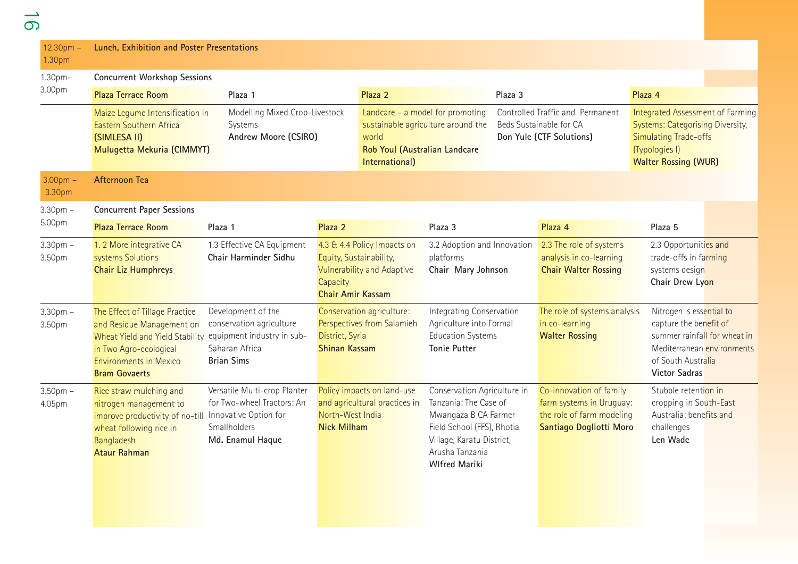| $12.30pm -$<br>1.30pm | Lunch, Exhibition and Poster Presentations                                                                                                                                                                   |                                                                                                                                |                                                                 |                                                                  |                                                                                                                                                                                    |         |                                                                                                             |                                                                                                                                                              |                                                            |
|-----------------------|--------------------------------------------------------------------------------------------------------------------------------------------------------------------------------------------------------------|--------------------------------------------------------------------------------------------------------------------------------|-----------------------------------------------------------------|------------------------------------------------------------------|------------------------------------------------------------------------------------------------------------------------------------------------------------------------------------|---------|-------------------------------------------------------------------------------------------------------------|--------------------------------------------------------------------------------------------------------------------------------------------------------------|------------------------------------------------------------|
| 1.30pm-<br>3.00pm     | <b>Concurrent Workshop Sessions</b><br><b>Plaza Terrace Room</b>                                                                                                                                             | Plaza 1                                                                                                                        |                                                                 | Plaza 2                                                          |                                                                                                                                                                                    | Plaza 3 |                                                                                                             | Plaza 4                                                                                                                                                      |                                                            |
|                       | Maize Legume Intensification in<br>Eastern Southern Africa<br>(SIMLESA II)<br>Mulugetta Mekuria (CIMMYT)                                                                                                     | Modelling Mixed Crop-Livestock<br>Systems<br>Andrew Moore (CSIRO)                                                              |                                                                 | world<br>Rob Youl (Australian Landcare<br>International)         | Landcare - a model for promoting<br>sustainable agriculture around the                                                                                                             |         | Controlled Traffic and Permanent<br>Beds Sustainable for CA<br>Don Yule (CTF Solutions)                     | Integrated Assessment of Farming<br><b>Systems: Categorising Diversity,</b><br><b>Simulating Trade-offs</b><br>(Typologies I)<br><b>Walter Rossing (WUR)</b> |                                                            |
| $3.00pm -$<br>3.30pm  | <b>Afternoon Tea</b>                                                                                                                                                                                         |                                                                                                                                |                                                                 |                                                                  |                                                                                                                                                                                    |         |                                                                                                             |                                                                                                                                                              |                                                            |
| $3.30pm -$<br>5.00pm  | <b>Concurrent Paper Sessions</b><br><b>Plaza Terrace Room</b>                                                                                                                                                | Plaza 1                                                                                                                        | Plaza 2                                                         |                                                                  | Plaza 3                                                                                                                                                                            |         | Plaza 4                                                                                                     | Plaza 5                                                                                                                                                      |                                                            |
| $3.30pm$ -<br>3.50pm  | 1. 2 More integrative CA<br>systems Solutions<br><b>Chair Liz Humphreys</b>                                                                                                                                  | 1.3 Effective CA Equipment<br>Chair Harminder Sidhu                                                                            | Equity, Sustainability,<br>Capacity<br><b>Chair Amir Kassam</b> | 4.3 & 4.4 Policy Impacts on<br><b>Vulnerability and Adaptive</b> | 3.2 Adoption and Innovation<br>platforms<br>Chair Mary Johnson                                                                                                                     |         | 2.3 The role of systems<br>analysis in co-learning<br><b>Chair Walter Rossing</b>                           | 2.3 Opportunities and<br>trade-offs in farming<br>systems design<br>Chair Drew Lyon                                                                          |                                                            |
| $3.30pm -$<br>3.50pm  | The Effect of Tillage Practice<br>and Residue Management on<br>Wheat Yield and Yield Stability equipment industry in sub-<br>in Two Agro-ecological<br><b>Environments in Mexico</b><br><b>Bram Govaerts</b> | Development of the<br>conservation agriculture<br>Saharan Africa<br><b>Brian Sims</b>                                          | District, Syria<br><b>Shinan Kassam</b>                         | Conservation agriculture:<br>Perspectives from Salamieh          | Integrating Conservation<br>Agriculture into Formal<br><b>Education Systems</b><br><b>Tonie Putter</b>                                                                             |         | The role of systems analysis<br>in co-learning<br><b>Walter Rossing</b>                                     | Nitrogen is essential to<br>capture the benefit of<br>of South Australia<br><b>Victor Sadras</b>                                                             | summer rainfall for wheat in<br>Mediterranean environments |
| $3.50pm$ -<br>4.05pm  | Rice straw mulching and<br>nitrogen management to<br>improve productivity of no-till<br>wheat following rice in<br>Bangladesh<br><b>Ataur Rahman</b>                                                         | Versatile Multi-crop Planter<br>for Two-wheel Tractors: An<br>Innovative Option for<br><b>Smallholders</b><br>Md. Enamul Haque | North-West India<br><b>Nick Milham</b>                          | Policy impacts on land-use<br>and agricultural practices in      | Conservation Agriculture in<br>Tanzania: The Case of<br>Mwangaza B CA Farmer<br>Field School (FFS), Rhotia<br>Village, Karatu District,<br>Arusha Tanzania<br><b>Wlfred Mariki</b> |         | Co-innovation of family<br>farm systems in Uruguay:<br>the role of farm modeling<br>Santiago Dogliotti Moro | Stubble retention in<br>cropping in South-East<br>Australia: benefits and<br>challenges<br>Len Wade                                                          |                                                            |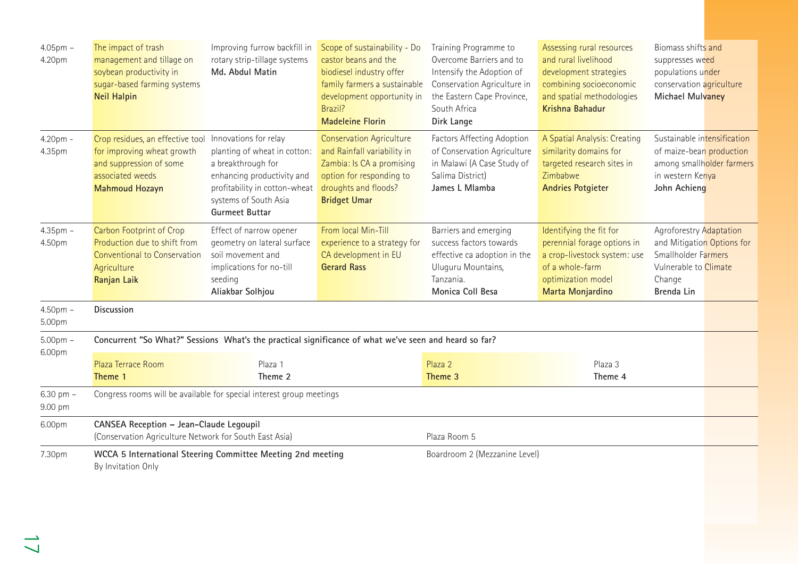| $4.05$ pm $-$<br>4.20pm  | The impact of trash<br>management and tillage on<br>soybean productivity in<br>sugar-based farming systems<br><b>Neil Halpin</b>                             | Improving furrow backfill in<br>rotary strip-tillage systems<br>Md. Abdul Matin                                                                                     | Scope of sustainability - Do<br>castor beans and the<br>biodiesel industry offer<br>family farmers a sustainable<br>development opportunity in<br>Brazil?<br><b>Madeleine Florin</b> | Training Programme to<br>Overcome Barriers and to<br>Intensify the Adoption of<br>Conservation Agriculture in<br>the Eastern Cape Province,<br>South Africa<br>Dirk Lange | Assessing rural resources<br>and rural livelihood<br>development strategies<br>combining socioeconomic<br>and spatial methodologies<br>Krishna Bahadur | Biomass shifts and<br>suppresses weed<br>populations under<br>conservation agriculture<br><b>Michael Mulvaney</b>             |  |
|--------------------------|--------------------------------------------------------------------------------------------------------------------------------------------------------------|---------------------------------------------------------------------------------------------------------------------------------------------------------------------|--------------------------------------------------------------------------------------------------------------------------------------------------------------------------------------|---------------------------------------------------------------------------------------------------------------------------------------------------------------------------|--------------------------------------------------------------------------------------------------------------------------------------------------------|-------------------------------------------------------------------------------------------------------------------------------|--|
| 4.20pm -<br>4.35pm       | Crop residues, an effective tool Innovations for relay<br>for improving wheat growth<br>and suppression of some<br>associated weeds<br><b>Mahmoud Hozayn</b> | planting of wheat in cotton:<br>a breakthrough for<br>enhancing productivity and<br>profitability in cotton-wheat<br>systems of South Asia<br><b>Gurmeet Buttar</b> | <b>Conservation Agriculture</b><br>and Rainfall variability in<br>Zambia: Is CA a promising<br>option for responding to<br>droughts and floods?<br><b>Bridget Umar</b>               | Factors Affecting Adoption<br>of Conservation Agriculture<br>in Malawi (A Case Study of<br>Salima District)<br>James L Mlamba                                             | A Spatial Analysis: Creating<br>similarity domains for<br>targeted research sites in<br>Zimbabwe<br><b>Andries Potgieter</b>                           | Sustainable intensification<br>of maize-bean production<br>among smallholder farmers<br>in western Kenya<br>John Achieng      |  |
| $4.35$ pm $-$<br>4.50pm  | Carbon Footprint of Crop<br>Production due to shift from<br><b>Conventional to Conservation</b><br>Agriculture<br>Ranjan Laik                                | Effect of narrow opener<br>geometry on lateral surface<br>soil movement and<br>implications for no-till<br>seeding<br>Aliakbar Solhjou                              | From local Min-Till<br>experience to a strategy for<br>CA development in EU<br><b>Gerard Rass</b>                                                                                    | Barriers and emerging<br>success factors towards<br>effective ca adoption in the<br>Uluguru Mountains,<br>Tanzania.<br>Monica Coll Besa                                   | Identifying the fit for<br>perennial forage options in<br>a crop-livestock system: use<br>of a whole-farm<br>optimization model<br>Marta Monjardino    | Agroforestry Adaptation<br>and Mitigation Options for<br>Smallholder Farmers<br>Vulnerable to Climate<br>Change<br>Brenda Lin |  |
| $4.50pm$ -<br>5.00pm     | Discussion                                                                                                                                                   |                                                                                                                                                                     |                                                                                                                                                                                      |                                                                                                                                                                           |                                                                                                                                                        |                                                                                                                               |  |
| $5.00pm$ -<br>6.00pm     | Concurrent "So What?" Sessions What's the practical significance of what we've seen and heard so far?                                                        |                                                                                                                                                                     |                                                                                                                                                                                      |                                                                                                                                                                           |                                                                                                                                                        |                                                                                                                               |  |
|                          | Plaza Terrace Room<br>Theme 1                                                                                                                                | Plaza 1<br>Theme 2                                                                                                                                                  |                                                                                                                                                                                      | Plaza 2<br>Theme 3                                                                                                                                                        | Plaza 3<br>Theme 4                                                                                                                                     |                                                                                                                               |  |
| $6.30$ pm $-$<br>9.00 pm | Congress rooms will be available for special interest group meetings                                                                                         |                                                                                                                                                                     |                                                                                                                                                                                      |                                                                                                                                                                           |                                                                                                                                                        |                                                                                                                               |  |
| 6.00pm                   | CANSEA Reception - Jean-Claude Legoupil<br>(Conservation Agriculture Network for South East Asia)<br>Plaza Room 5                                            |                                                                                                                                                                     |                                                                                                                                                                                      |                                                                                                                                                                           |                                                                                                                                                        |                                                                                                                               |  |
| 7.30pm                   | Boardroom 2 (Mezzanine Level)<br>WCCA 5 International Steering Committee Meeting 2nd meeting<br>By Invitation Only                                           |                                                                                                                                                                     |                                                                                                                                                                                      |                                                                                                                                                                           |                                                                                                                                                        |                                                                                                                               |  |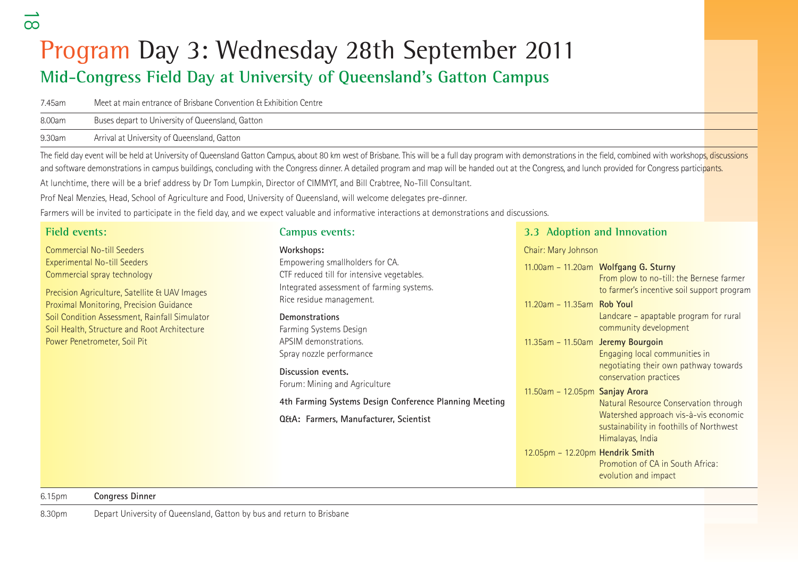## Program Day 3: Wednesday 28th September 2011 **Mid-Congress Field Day at University of Queensland's Gatton Campus**

| 7.45am | Meet at main entrance of Brisbane Convention & Exhibition Centre |
|--------|------------------------------------------------------------------|
| 8.00am | Buses depart to University of Queensland, Gatton                 |

9.30am Arrival at University of Queensland, Gatton

The field day event will be held at University of Queensland Gatton Campus, about 80 km west of Brisbane. This will be a full day program with demonstrations in the field, combined with workshops, discussions and software demonstrations in campus buildings, concluding with the Congress dinner. A detailed program and map will be handed out at the Congress, and lunch provided for Congress participants.

At lunchtime, there will be a brief address by Dr Tom Lumpkin, Director of CIMMYT, and Bill Crabtree, No-Till Consultant.

Prof Neal Menzies, Head, School of Agriculture and Food, University of Queensland, will welcome delegates pre-dinner.

Farmers will be invited to participate in the field day, and we expect valuable and informative interactions at demonstrations and discussions.

## **Field events:**

Commercial No-till SeedersExperimental No-till Seeders Commercial spray technology

Precision Agriculture, Satellite & UAV Images Proximal Monitoring, Precision Guidance Soil Condition Assessment, Rainfall Simulator Soil Health, Structure and Root Architecture Power Penetrometer, Soil Pit

### **Campus events:**

#### **Workshops:**

Empowering smallholders for CA. CTF reduced till for intensive vegetables. Integrated assessment of farming systems. Rice residue management.

#### **Demonstrations**

Farming Systems Design APSIM demonstrations.Spray nozzle performance

**Discussion events.** Forum: Mining and Agriculture

### **4th Farming Systems Design Conference Planning Meeti**

**Q&A: Farmers, Manufacturer, Scientist** 

## **3.3 Adoption and Innovation**

Chair: Mary Johnson

|      |                                   | 11.00am - 11.20am Wolfgang G. Sturny<br>From plow to no-till: the Bernese farmer<br>to farmer's incentive soil support program                 |
|------|-----------------------------------|------------------------------------------------------------------------------------------------------------------------------------------------|
|      | 11.20am - 11.35am Rob Youl        | Landcare - apaptable program for rural<br>community development                                                                                |
|      | 11.35am - 11.50am Jeremy Bourgoin | Engaging local communities in<br>negotiating their own pathway towards<br>conservation practices                                               |
| inq: | $11.50$ am - 12.05pm Sanjay Arora | Natural Resource Conservation through<br>Watershed approach vis-à-vis economic<br>sustainability in foothills of Northwest<br>Himalayas, India |
|      | 12.05pm - 12.20pm Hendrik Smith   | Promotion of CA in South Africa:<br>evolution and impact                                                                                       |

 $\infty$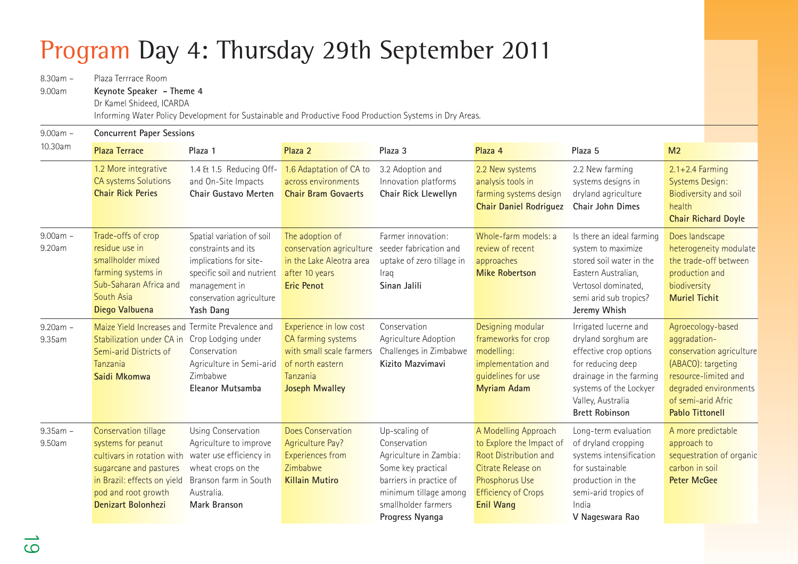## Program Day 4: Thursday 29th September 2011

8.30am – Plaza Terrrace Room9.00am **Keynote Speaker - Theme 4** Dr Kamel Shideed, ICARDA Informing Water Policy Development for Sustainable and Productive Food Production Systems in Dry Areas. 9.00am – **Concurrent Paper Sessions** 10.30am **Plaza Terrace Plaza 1 Plaza 2 Plaza 3 Plaza 4 Plaza 5 M2** 1.2 More integrative CA systems Solutions **Chair Rick Peries**9.00am – Trade-offs of crop 9.20am residue use in smallholder mixed farming systems in Sub-Saharan Africa and South Asia**Diego Valbuena**  9.20am – Maize Yield Increases and Termite Prevalence and 9.35am Stabilization under CA in Crop Lodging under Semi-arid Districts of Tanzania**Saidi Mkomwa**9.35am – Conservation tillage 9.50am systems for peanut cultivars in rotation with sugarcane and pastures in Brazil: effects on yield pod and root growth **Denizart Bolonhezi**1.4 & 1.5 Reducing Offand On-Site Impacts **Chair Gustavo Merten** 1.6 Adaptation of CA to across environments**Chair Bram Govaerts**3.2 Adoption and Innovation platforms **Chair Rick Llewellyn**  2.2 New systems analysis tools in farming systems design **Chair Daniel Rodriguez**  2.2 New farming systems designs in dryland agriculture **Chair John Dimes**2.1+2.4 Farming Systems Design: Biodiversity and soil health**Chair Richard Doyle**  Spatial variation of soil constraints and its implications for sitespecific soil and nutrient management in conservation agriculture **Yash Dang** The adoption of conservation agriculture seeder fabrication and in the Lake Aleotra areaafter 10 years **Eric Penot**Farmer innovation:uptake of zero tillage in Iraq **Sinan Jalili**Whole-farm models: areview of recent approaches **Mike Robertson** Is there an ideal farming system to maximize stored soil water in theEastern Australian, Vertosol dominated, semi arid sub tropics? **Jeremy Whish** Does landscape heterogeneity modulate the trade-off betweenproduction and biodiversity **Muriel Tichit**ConservationAgriculture in Semi-arid Zimbabwe**Eleanor Mutsamba**Experience in low cost CA farming systems with small scale farmers of north easternTanzania**Joseph Mwalley** Conservation Agriculture Adoption Challenges in Zimbabwe **Kizito Mazvimavi**Designing modular frameworks for crop modelling: implementation and guidelines for use **Myriam Adam** Irrigated lucerne and dryland sorghum are effective crop options for reducing deep drainage in the farming systems of the Lockyer Valley, Australia **Brett Robinson**Agroecology-based aggradationconservation agriculture (ABACO): targeting resource-limited anddegraded environments of semi-arid Afric **Pablo Tittonell** Using Conservation Agriculture to improve water use efficiency in wheat crops on the Branson farm in SouthAustralia.**Mark Branson**Does ConservationAgriculture Pay? Experiences from Zimbabwe**Killain Mutiro**Up-scaling of Conservation Agriculture in Zambia: Some key practical barriers in practice of minimum tillage among smallholder farmers**Progress Nyanga** A Modelling Approach to Explore the Impact of Root Distribution andCitrate Release onPhosphorus Use Efficiency of Crops **Enil Wang**  Long-term evaluation of dryland cropping systems intensification for sustainableproduction in the semi-arid tropics of India**V Nageswara Rao** A more predictable approach to sequestration of organic carbon in soil**Peter McGee**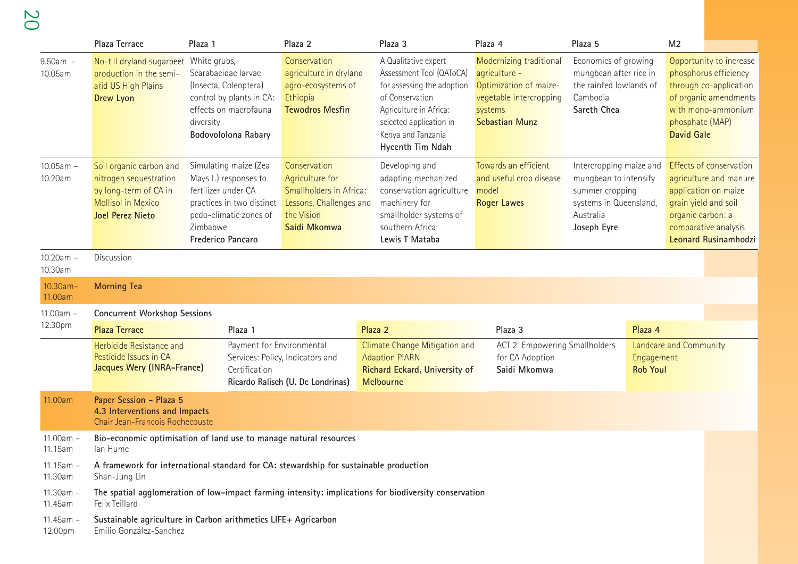20

|                         | Plaza Terrace                                                                                                                      | Plaza 1                                                                                                                                                              | Plaza 2                                                                                                             |         | Plaza 3                                                                                                                                                                                          | Plaza 4 |                                                                                                                        | Plaza 5                                                                                                                   |                                                         | M <sub>2</sub>                            |                                                                                                                           |  |  |
|-------------------------|------------------------------------------------------------------------------------------------------------------------------------|----------------------------------------------------------------------------------------------------------------------------------------------------------------------|---------------------------------------------------------------------------------------------------------------------|---------|--------------------------------------------------------------------------------------------------------------------------------------------------------------------------------------------------|---------|------------------------------------------------------------------------------------------------------------------------|---------------------------------------------------------------------------------------------------------------------------|---------------------------------------------------------|-------------------------------------------|---------------------------------------------------------------------------------------------------------------------------|--|--|
| 9.50am -<br>10.05am     | No-till dryland sugarbeet White grubs,<br>production in the semi-<br>arid US High Plains<br>Drew Lyon                              | Scarabaeidae larvae<br>(Insecta, Coleoptera)<br>control by plants in CA:<br>effects on macrofauna<br>diversity<br>Bodovololona Rabary                                | Conservation<br>agriculture in dryland<br>agro-ecosystems of<br>Ethiopia<br><b>Tewodros Mesfin</b>                  |         | A Qualitative expert<br>Assessment Tool (QAToCA)<br>for assessing the adoption<br>of Conservation<br>Agriculture in Africa:<br>selected application in<br>Kenya and Tanzania<br>Hycenth Tim Ndah | systems | Modernizing traditional<br>agriculture -<br>Optimization of maize-<br>vegetable intercropping<br><b>Sebastian Munz</b> | Economics of growing<br>mungbean after rice in<br>the rainfed lowlands of<br>Cambodia<br>Sareth Chea                      |                                                         | phosphate (MAP)<br><b>David Gale</b>      | Opportunity to increase<br>phosphorus efficiency<br>through co-application<br>of organic amendments<br>with mono-ammonium |  |  |
| $10.05$ am -<br>10.20am | Soil organic carbon and<br>nitrogen sequestration<br>by long-term of CA in<br><b>Mollisol in Mexico</b><br><b>Joel Perez Nieto</b> | Simulating maize (Zea<br>Mays L.) responses to<br>fertilizer under CA<br>practices in two distinct<br>pedo-climatic zones of<br>Zimbabwe<br><b>Frederico Pancaro</b> | Conservation<br>Agriculture for<br>Smallholders in Africa:<br>Lessons, Challenges and<br>the Vision<br>Saidi Mkomwa |         | Developing and<br>adapting mechanized<br>conservation agriculture<br>machinery for<br>smallholder systems of<br>southern Africa<br>Lewis T Mataba                                                | model   | Towards an efficient<br>and useful crop disease<br><b>Roger Lawes</b>                                                  | Intercropping maize and<br>mungbean to intensify<br>summer cropping<br>systems in Queensland,<br>Australia<br>Joseph Eyre |                                                         | grain yield and soil<br>organic carbon: a | Effects of conservation<br>agriculture and manure<br>application on maize<br>comparative analysis<br>Leonard Rusinamhodzi |  |  |
| $10.20am -$<br>10.30am  | Discussion                                                                                                                         |                                                                                                                                                                      |                                                                                                                     |         |                                                                                                                                                                                                  |         |                                                                                                                        |                                                                                                                           |                                                         |                                           |                                                                                                                           |  |  |
| $10.30am -$<br>11.00am  | <b>Morning Tea</b>                                                                                                                 |                                                                                                                                                                      |                                                                                                                     |         |                                                                                                                                                                                                  |         |                                                                                                                        |                                                                                                                           |                                                         |                                           |                                                                                                                           |  |  |
| $11.00am -$             | <b>Concurrent Workshop Sessions</b>                                                                                                |                                                                                                                                                                      |                                                                                                                     |         |                                                                                                                                                                                                  |         |                                                                                                                        |                                                                                                                           |                                                         |                                           |                                                                                                                           |  |  |
| 12.30pm                 | <b>Plaza Terrace</b>                                                                                                               | Plaza 1                                                                                                                                                              |                                                                                                                     | Plaza 2 |                                                                                                                                                                                                  |         | Plaza 3                                                                                                                |                                                                                                                           | Plaza 4                                                 |                                           |                                                                                                                           |  |  |
|                         | Herbicide Resistance and<br>Pesticide Issues in CA<br>Jacques Wery (INRA-France)                                                   | Payment for Environmental<br>Certification                                                                                                                           | Services: Policy, Indicators and<br>Ricardo Ralisch (U. De Londrinas)                                               |         | Climate Change Mitigation and<br><b>Adaption PIARN</b><br>Richard Eckard, University of<br><b>Melbourne</b>                                                                                      |         | ACT 2 Empowering Smallholders<br>for CA Adoption<br>Saidi Mkomwa                                                       |                                                                                                                           | Landcare and Community<br>Engagement<br><b>Rob Youl</b> |                                           |                                                                                                                           |  |  |
| 11.00am                 | Paper Session - Plaza 5<br>4.3 Interventions and Impacts<br>Chair Jean-Francois Rochecouste                                        |                                                                                                                                                                      |                                                                                                                     |         |                                                                                                                                                                                                  |         |                                                                                                                        |                                                                                                                           |                                                         |                                           |                                                                                                                           |  |  |
| 11.00am -<br>11.15am    | Bio-economic optimisation of land use to manage natural resources<br>lan Hume                                                      |                                                                                                                                                                      |                                                                                                                     |         |                                                                                                                                                                                                  |         |                                                                                                                        |                                                                                                                           |                                                         |                                           |                                                                                                                           |  |  |
| $11.15$ am -<br>11.30am | A framework for international standard for CA: stewardship for sustainable production<br>Shan-Jung Lin                             |                                                                                                                                                                      |                                                                                                                     |         |                                                                                                                                                                                                  |         |                                                                                                                        |                                                                                                                           |                                                         |                                           |                                                                                                                           |  |  |
| 11.30am -<br>11.45am    | The spatial agglomeration of low-impact farming intensity: implications for biodiversity conservation<br>Felix Teillard            |                                                                                                                                                                      |                                                                                                                     |         |                                                                                                                                                                                                  |         |                                                                                                                        |                                                                                                                           |                                                         |                                           |                                                                                                                           |  |  |
| $11.45am -$<br>12.00pm  | Sustainable agriculture in Carbon arithmetics LIFE+ Agricarbon<br>Emilio González-Sanchez                                          |                                                                                                                                                                      |                                                                                                                     |         |                                                                                                                                                                                                  |         |                                                                                                                        |                                                                                                                           |                                                         |                                           |                                                                                                                           |  |  |